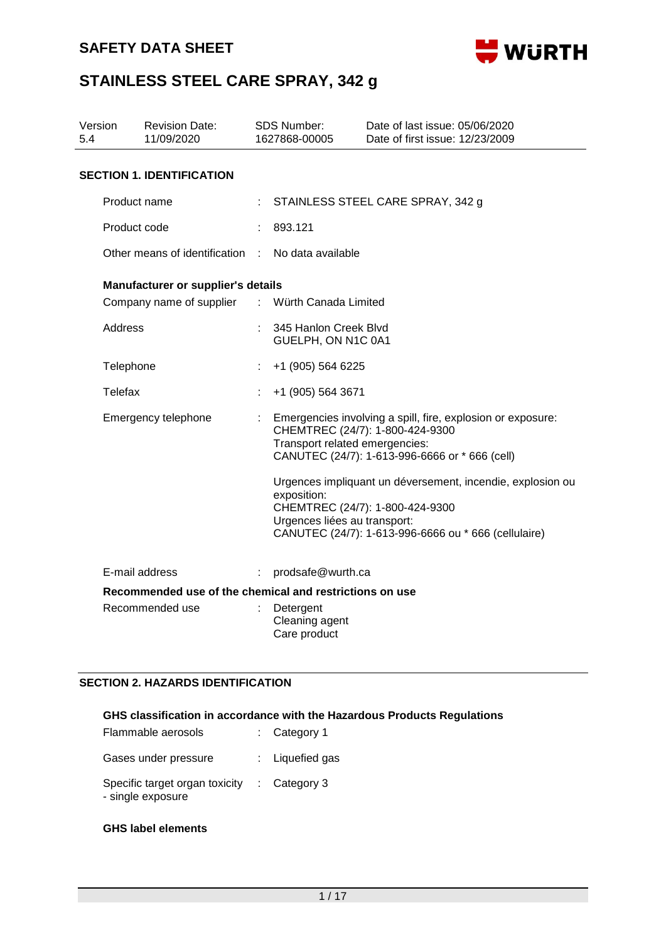

| Version<br>5.4 |                | <b>Revision Date:</b><br>11/09/2020                                        | <b>SDS Number:</b><br>1627868-00005                                           | Date of last issue: 05/06/2020<br>Date of first issue: 12/23/2009                                                                                                                                                                                 |  |  |
|----------------|----------------|----------------------------------------------------------------------------|-------------------------------------------------------------------------------|---------------------------------------------------------------------------------------------------------------------------------------------------------------------------------------------------------------------------------------------------|--|--|
|                |                | <b>SECTION 1. IDENTIFICATION</b>                                           |                                                                               |                                                                                                                                                                                                                                                   |  |  |
|                | Product name   |                                                                            |                                                                               | STAINLESS STEEL CARE SPRAY, 342 g                                                                                                                                                                                                                 |  |  |
|                | Product code   |                                                                            | 893.121                                                                       |                                                                                                                                                                                                                                                   |  |  |
|                |                | Other means of identification : No data available                          |                                                                               |                                                                                                                                                                                                                                                   |  |  |
|                |                | Manufacturer or supplier's details                                         |                                                                               |                                                                                                                                                                                                                                                   |  |  |
|                |                | Company name of supplier                                                   | : Würth Canada Limited                                                        |                                                                                                                                                                                                                                                   |  |  |
|                | <b>Address</b> |                                                                            | 345 Hanlon Creek Blvd<br>GUELPH, ON N1C 0A1                                   |                                                                                                                                                                                                                                                   |  |  |
|                | Telephone      |                                                                            | +1 (905) 564 6225                                                             |                                                                                                                                                                                                                                                   |  |  |
|                | <b>Telefax</b> |                                                                            | +1 (905) 564 3671                                                             |                                                                                                                                                                                                                                                   |  |  |
|                |                | Emergency telephone                                                        | Transport related emergencies:<br>exposition:<br>Urgences liées au transport: | Emergencies involving a spill, fire, explosion or exposure:<br>CHEMTREC (24/7): 1-800-424-9300<br>CANUTEC (24/7): 1-613-996-6666 or * 666 (cell)<br>Urgences impliquant un déversement, incendie, explosion ou<br>CHEMTREC (24/7): 1-800-424-9300 |  |  |
|                |                |                                                                            |                                                                               | CANUTEC (24/7): 1-613-996-6666 ou * 666 (cellulaire)                                                                                                                                                                                              |  |  |
|                | E-mail address |                                                                            | prodsafe@wurth.ca                                                             |                                                                                                                                                                                                                                                   |  |  |
|                |                | Recommended use of the chemical and restrictions on use<br>Recommended use | Detergent<br>Cleaning agent<br>Care product                                   |                                                                                                                                                                                                                                                   |  |  |

## **SECTION 2. HAZARDS IDENTIFICATION**

## **GHS classification in accordance with the Hazardous Products Regulations**

| Flammable aerosols                                  | $:$ Category 1          |
|-----------------------------------------------------|-------------------------|
| Gases under pressure                                | : Liquefied gas         |
| Specific target organ toxicity<br>- single exposure | $\therefore$ Category 3 |

### **GHS label elements**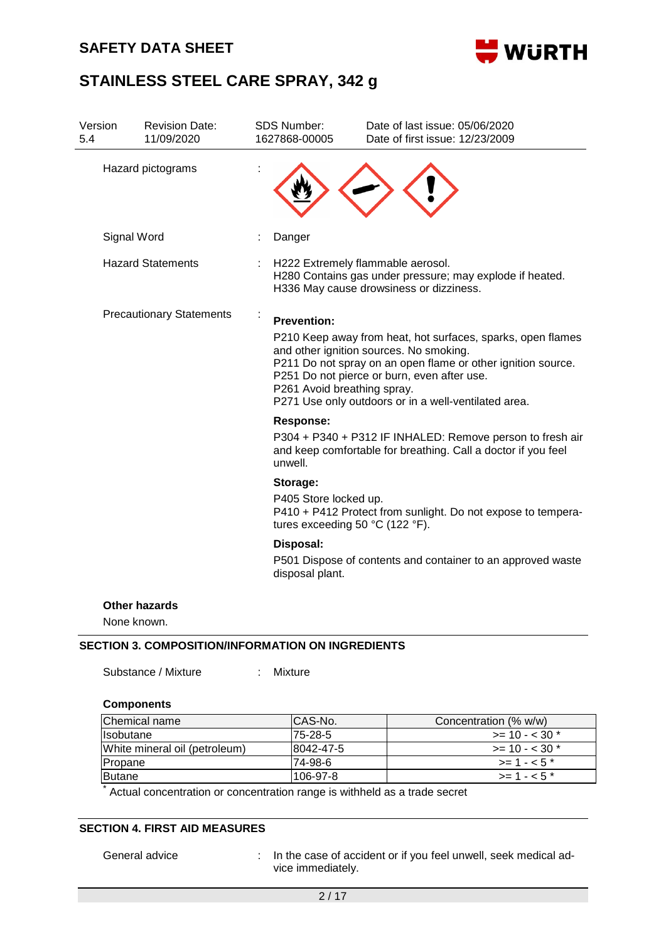## **SAFETY DATA SHEET**



# **STAINLESS STEEL CARE SPRAY, 342 g**

| Version<br>5.4 | <b>Revision Date:</b><br>11/09/2020 | <b>SDS Number:</b><br>1627868-00005               | Date of last issue: 05/06/2020<br>Date of first issue: 12/23/2009                                                                                                                                                                                                             |
|----------------|-------------------------------------|---------------------------------------------------|-------------------------------------------------------------------------------------------------------------------------------------------------------------------------------------------------------------------------------------------------------------------------------|
|                | Hazard pictograms                   |                                                   |                                                                                                                                                                                                                                                                               |
|                | Signal Word                         | Danger                                            |                                                                                                                                                                                                                                                                               |
|                | <b>Hazard Statements</b>            |                                                   | H222 Extremely flammable aerosol.<br>H280 Contains gas under pressure; may explode if heated.<br>H336 May cause drowsiness or dizziness.                                                                                                                                      |
|                | <b>Precautionary Statements</b>     | <b>Prevention:</b><br>P261 Avoid breathing spray. | P210 Keep away from heat, hot surfaces, sparks, open flames<br>and other ignition sources. No smoking.<br>P211 Do not spray on an open flame or other ignition source.<br>P251 Do not pierce or burn, even after use.<br>P271 Use only outdoors or in a well-ventilated area. |
|                |                                     | <b>Response:</b><br>unwell.                       | P304 + P340 + P312 IF INHALED: Remove person to fresh air<br>and keep comfortable for breathing. Call a doctor if you feel                                                                                                                                                    |
|                |                                     | Storage:<br>P405 Store locked up.                 | P410 + P412 Protect from sunlight. Do not expose to tempera-<br>tures exceeding 50 °C (122 °F).                                                                                                                                                                               |
|                |                                     | Disposal:<br>disposal plant.                      | P501 Dispose of contents and container to an approved waste                                                                                                                                                                                                                   |
|                | <b>Other hazards</b><br>None known. |                                                   |                                                                                                                                                                                                                                                                               |

### **SECTION 3. COMPOSITION/INFORMATION ON INGREDIENTS**

| Substance / Mixture | Mixture |
|---------------------|---------|
|                     |         |

### **Components**

| Chemical name                 | ICAS-No.   | Concentration (% w/w)     |
|-------------------------------|------------|---------------------------|
| <b>Isobutane</b>              | 75-28-5    | $\ge$ = 10 - < 30 $^*$    |
| White mineral oil (petroleum) | 18042-47-5 | $\ge$ = 10 - < 30 $\star$ |
| Propane                       | 74-98-6    | $\ge$ = 1 - < 5 $^*$      |
| <b>Butane</b>                 | 106-97-8   | $\ge$ = 1 - < 5 $^*$      |

\* Actual concentration or concentration range is withheld as a trade secret

## **SECTION 4. FIRST AID MEASURES**

General advice : In the case of accident or if you feel unwell, seek medical advice immediately.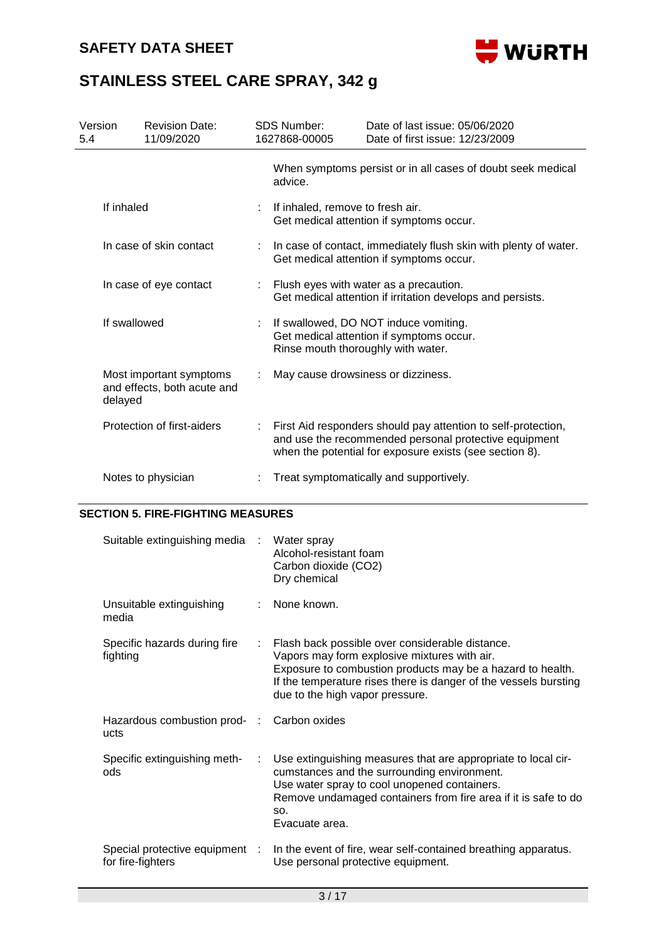

| Version<br>5.4          |            | <b>Revision Date:</b><br>11/09/2020                    |                                                                                                                         | <b>SDS Number:</b><br>1627868-00005                                                                    | Date of last issue: 05/06/2020<br>Date of first issue: 12/23/2009                                                                                                                 |  |
|-------------------------|------------|--------------------------------------------------------|-------------------------------------------------------------------------------------------------------------------------|--------------------------------------------------------------------------------------------------------|-----------------------------------------------------------------------------------------------------------------------------------------------------------------------------------|--|
|                         |            |                                                        |                                                                                                                         | advice.                                                                                                | When symptoms persist or in all cases of doubt seek medical                                                                                                                       |  |
|                         | If inhaled |                                                        |                                                                                                                         | If inhaled, remove to fresh air.                                                                       | Get medical attention if symptoms occur.                                                                                                                                          |  |
| In case of skin contact |            |                                                        | In case of contact, immediately flush skin with plenty of water.<br>Get medical attention if symptoms occur.            |                                                                                                        |                                                                                                                                                                                   |  |
| In case of eye contact  |            |                                                        |                                                                                                                         | : Flush eyes with water as a precaution.<br>Get medical attention if irritation develops and persists. |                                                                                                                                                                                   |  |
| If swallowed            |            | ÷.                                                     | If swallowed, DO NOT induce vomiting.<br>Get medical attention if symptoms occur.<br>Rinse mouth thoroughly with water. |                                                                                                        |                                                                                                                                                                                   |  |
|                         | delayed    | Most important symptoms<br>and effects, both acute and |                                                                                                                         | May cause drowsiness or dizziness.                                                                     |                                                                                                                                                                                   |  |
|                         |            | Protection of first-aiders                             |                                                                                                                         |                                                                                                        | First Aid responders should pay attention to self-protection,<br>and use the recommended personal protective equipment<br>when the potential for exposure exists (see section 8). |  |
|                         |            | Notes to physician                                     |                                                                                                                         |                                                                                                        | Treat symptomatically and supportively.                                                                                                                                           |  |

### **SECTION 5. FIRE-FIGHTING MEASURES**

| Suitable extinguishing media :                    |   | Water spray<br>Alcohol-resistant foam<br>Carbon dioxide (CO2)<br>Dry chemical                                                                                                                                                                                        |
|---------------------------------------------------|---|----------------------------------------------------------------------------------------------------------------------------------------------------------------------------------------------------------------------------------------------------------------------|
| Unsuitable extinguishing<br>media                 |   | None known.                                                                                                                                                                                                                                                          |
| Specific hazards during fire<br>fighting          |   | Flash back possible over considerable distance.<br>Vapors may form explosive mixtures with air.<br>Exposure to combustion products may be a hazard to health.<br>If the temperature rises there is danger of the vessels bursting<br>due to the high vapor pressure. |
| Hazardous combustion prod- :<br>ucts              |   | Carbon oxides                                                                                                                                                                                                                                                        |
| Specific extinguishing meth-<br>ods               | ÷ | Use extinguishing measures that are appropriate to local cir-<br>cumstances and the surrounding environment.<br>Use water spray to cool unopened containers.<br>Remove undamaged containers from fire area if it is safe to do<br>SO.<br>Evacuate area.              |
| Special protective equipment<br>for fire-fighters |   | In the event of fire, wear self-contained breathing apparatus.<br>Use personal protective equipment.                                                                                                                                                                 |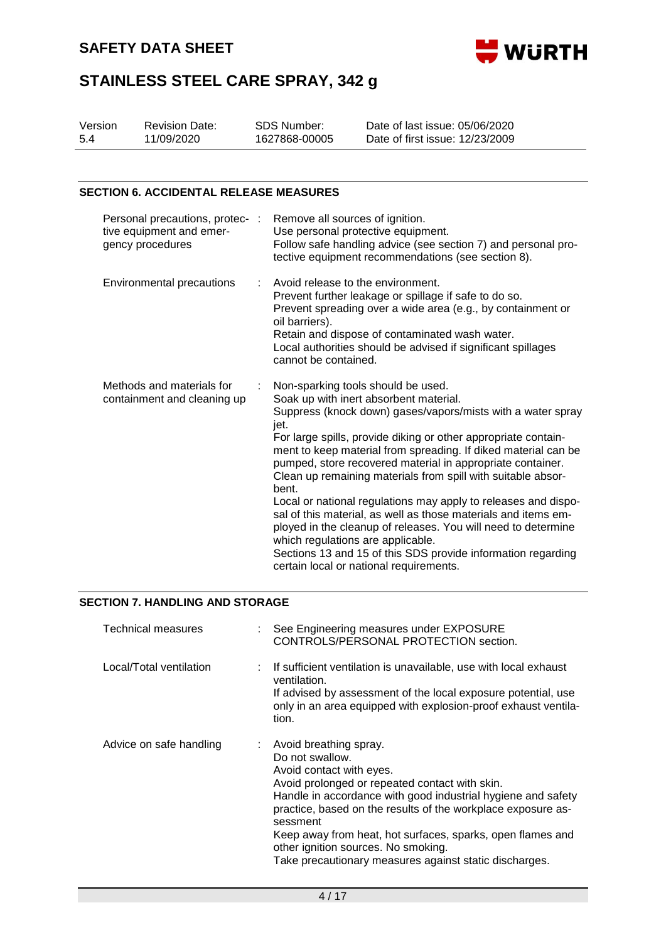

| Version | <b>Revision Date:</b> | SDS Number:   | Date of last issue: 05/06/2020  |
|---------|-----------------------|---------------|---------------------------------|
| 5.4     | 11/09/2020            | 1627868-00005 | Date of first issue: 12/23/2009 |

#### **SECTION 6. ACCIDENTAL RELEASE MEASURES**

| Personal precautions, protec- :<br>tive equipment and emer-<br>gency procedures |    | Remove all sources of ignition.<br>Use personal protective equipment.<br>Follow safe handling advice (see section 7) and personal pro-<br>tective equipment recommendations (see section 8).                                                                                                                                                                                                                                                                                                                                                                                                                                                                                                                                                                                        |
|---------------------------------------------------------------------------------|----|-------------------------------------------------------------------------------------------------------------------------------------------------------------------------------------------------------------------------------------------------------------------------------------------------------------------------------------------------------------------------------------------------------------------------------------------------------------------------------------------------------------------------------------------------------------------------------------------------------------------------------------------------------------------------------------------------------------------------------------------------------------------------------------|
| Environmental precautions                                                       | ÷. | Avoid release to the environment.<br>Prevent further leakage or spillage if safe to do so.<br>Prevent spreading over a wide area (e.g., by containment or<br>oil barriers).<br>Retain and dispose of contaminated wash water.<br>Local authorities should be advised if significant spillages<br>cannot be contained.                                                                                                                                                                                                                                                                                                                                                                                                                                                               |
| Methods and materials for<br>containment and cleaning up                        |    | Non-sparking tools should be used.<br>Soak up with inert absorbent material.<br>Suppress (knock down) gases/vapors/mists with a water spray<br>jet.<br>For large spills, provide diking or other appropriate contain-<br>ment to keep material from spreading. If diked material can be<br>pumped, store recovered material in appropriate container.<br>Clean up remaining materials from spill with suitable absor-<br>bent.<br>Local or national regulations may apply to releases and dispo-<br>sal of this material, as well as those materials and items em-<br>ployed in the cleanup of releases. You will need to determine<br>which regulations are applicable.<br>Sections 13 and 15 of this SDS provide information regarding<br>certain local or national requirements. |

### **SECTION 7. HANDLING AND STORAGE**

| <b>Technical measures</b> | See Engineering measures under EXPOSURE<br>CONTROLS/PERSONAL PROTECTION section.                                                                                                                                                                                                                                                                                                                                                     |
|---------------------------|--------------------------------------------------------------------------------------------------------------------------------------------------------------------------------------------------------------------------------------------------------------------------------------------------------------------------------------------------------------------------------------------------------------------------------------|
| Local/Total ventilation   | : If sufficient ventilation is unavailable, use with local exhaust<br>ventilation.<br>If advised by assessment of the local exposure potential, use<br>only in an area equipped with explosion-proof exhaust ventila-<br>tion.                                                                                                                                                                                                       |
| Advice on safe handling   | : Avoid breathing spray.<br>Do not swallow.<br>Avoid contact with eyes.<br>Avoid prolonged or repeated contact with skin.<br>Handle in accordance with good industrial hygiene and safety<br>practice, based on the results of the workplace exposure as-<br>sessment<br>Keep away from heat, hot surfaces, sparks, open flames and<br>other ignition sources. No smoking.<br>Take precautionary measures against static discharges. |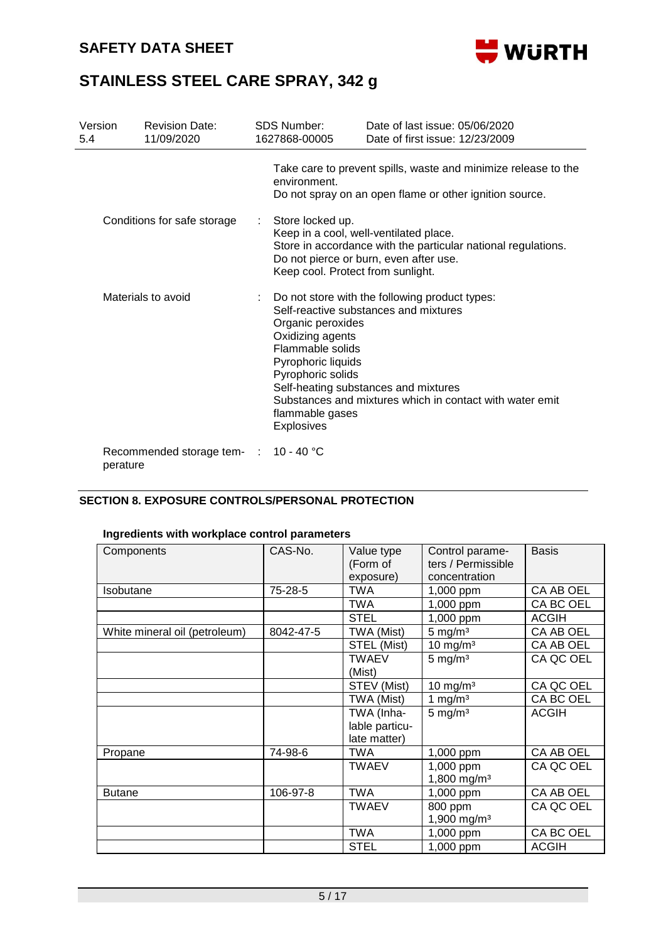

| Version<br>5.4              | <b>Revision Date:</b><br>11/09/2020 |                 | SDS Number:<br>1627868-00005                                                                                                                                                                               | Date of last issue: 05/06/2020<br>Date of first issue: 12/23/2009                                                                                                                             |  |  |
|-----------------------------|-------------------------------------|-----------------|------------------------------------------------------------------------------------------------------------------------------------------------------------------------------------------------------------|-----------------------------------------------------------------------------------------------------------------------------------------------------------------------------------------------|--|--|
|                             |                                     |                 | environment.                                                                                                                                                                                               | Take care to prevent spills, waste and minimize release to the<br>Do not spray on an open flame or other ignition source.                                                                     |  |  |
| Conditions for safe storage |                                     |                 | Store locked up.<br>Keep in a cool, well-ventilated place.<br>Store in accordance with the particular national regulations.<br>Do not pierce or burn, even after use.<br>Keep cool. Protect from sunlight. |                                                                                                                                                                                               |  |  |
|                             | Materials to avoid                  |                 | Organic peroxides<br>Oxidizing agents<br>Flammable solids<br>Pyrophoric liquids<br>Pyrophoric solids<br>flammable gases<br><b>Explosives</b>                                                               | : Do not store with the following product types:<br>Self-reactive substances and mixtures<br>Self-heating substances and mixtures<br>Substances and mixtures which in contact with water emit |  |  |
| perature                    | Recommended storage tem-            | <b>Contract</b> | 10 - 40 °C                                                                                                                                                                                                 |                                                                                                                                                                                               |  |  |

## **SECTION 8. EXPOSURE CONTROLS/PERSONAL PROTECTION**

### **Ingredients with workplace control parameters**

| Components                    | CAS-No.   | Value type<br>(Form of | Control parame-<br>ters / Permissible | <b>Basis</b> |
|-------------------------------|-----------|------------------------|---------------------------------------|--------------|
|                               |           | exposure)              | concentration                         |              |
|                               |           |                        |                                       |              |
| Isobutane                     | 75-28-5   | <b>TWA</b>             | 1,000 ppm                             | CA AB OEL    |
|                               |           | TWA                    | 1,000 ppm                             | CA BC OEL    |
|                               |           | <b>STEL</b>            | 1,000 ppm                             | <b>ACGIH</b> |
| White mineral oil (petroleum) | 8042-47-5 | TWA (Mist)             | $5 \text{ mg/m}^3$                    | CA AB OEL    |
|                               |           | STEL (Mist)            | 10 mg/m $3$                           | CA AB OEL    |
|                               |           | <b>TWAEV</b>           | $5 \text{ mg/m}^3$                    | CA QC OEL    |
|                               |           | (Mist)                 |                                       |              |
|                               |           | STEV (Mist)            | $10$ mg/m <sup>3</sup>                | CA QC OEL    |
|                               |           | TWA (Mist)             | 1 mg/ $m3$                            | CA BC OEL    |
|                               |           | TWA (Inha-             | $5 \text{ mg/m}^3$                    | <b>ACGIH</b> |
|                               |           | lable particu-         |                                       |              |
|                               |           | late matter)           |                                       |              |
| Propane                       | 74-98-6   | <b>TWA</b>             | 1,000 ppm                             | CA AB OEL    |
|                               |           | <b>TWAEV</b>           | 1,000 ppm                             | CA QC OEL    |
|                               |           |                        | 1,800 mg/m <sup>3</sup>               |              |
| <b>Butane</b>                 | 106-97-8  | <b>TWA</b>             | 1,000 ppm                             | CA AB OEL    |
|                               |           | <b>TWAEV</b>           | 800 ppm                               | CA QC OEL    |
|                               |           |                        | 1,900 mg/m <sup>3</sup>               |              |
|                               |           | <b>TWA</b>             | 1,000 ppm                             | CA BC OEL    |
|                               |           | <b>STEL</b>            | 1,000 ppm                             | <b>ACGIH</b> |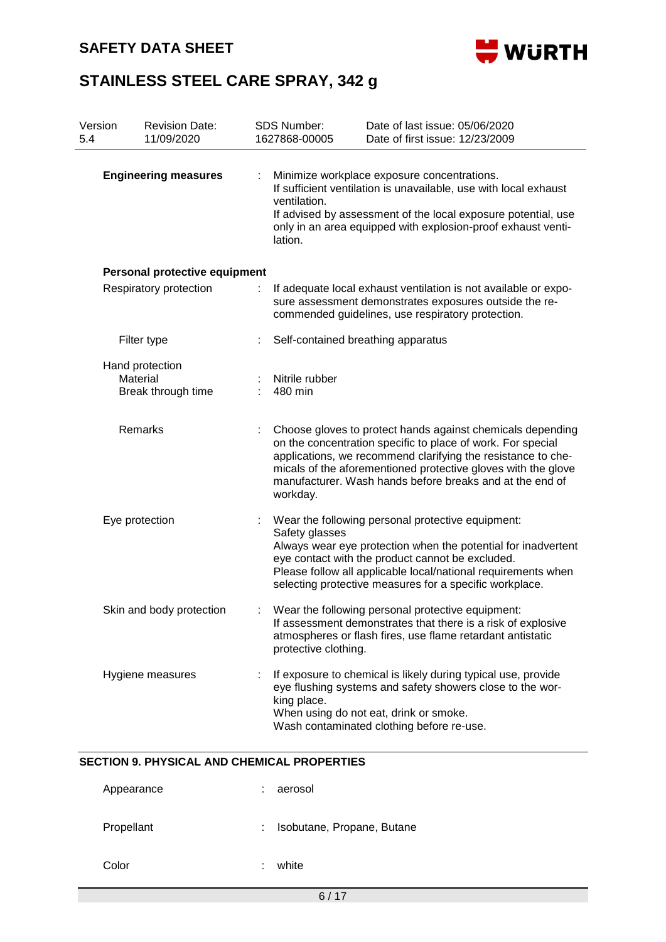

| Version<br><b>Revision Date:</b><br>11/09/2020<br>5.4 |                                                   |   | <b>SDS Number:</b><br>1627868-00005                                                                                                                                            | Date of last issue: 05/06/2020<br>Date of first issue: 12/23/2009                                                                                                                                                                                                                                                      |  |  |  |
|-------------------------------------------------------|---------------------------------------------------|---|--------------------------------------------------------------------------------------------------------------------------------------------------------------------------------|------------------------------------------------------------------------------------------------------------------------------------------------------------------------------------------------------------------------------------------------------------------------------------------------------------------------|--|--|--|
| <b>Engineering measures</b>                           |                                                   |   | ventilation.<br>lation.                                                                                                                                                        | Minimize workplace exposure concentrations.<br>If sufficient ventilation is unavailable, use with local exhaust<br>If advised by assessment of the local exposure potential, use<br>only in an area equipped with explosion-proof exhaust venti-                                                                       |  |  |  |
|                                                       | Personal protective equipment                     |   |                                                                                                                                                                                |                                                                                                                                                                                                                                                                                                                        |  |  |  |
| Respiratory protection                                |                                                   | ÷ | If adequate local exhaust ventilation is not available or expo-<br>sure assessment demonstrates exposures outside the re-<br>commended guidelines, use respiratory protection. |                                                                                                                                                                                                                                                                                                                        |  |  |  |
|                                                       | Filter type                                       |   |                                                                                                                                                                                | Self-contained breathing apparatus                                                                                                                                                                                                                                                                                     |  |  |  |
|                                                       | Hand protection<br>Material<br>Break through time |   | Nitrile rubber<br>480 min                                                                                                                                                      |                                                                                                                                                                                                                                                                                                                        |  |  |  |
|                                                       | <b>Remarks</b>                                    |   | workday.                                                                                                                                                                       | Choose gloves to protect hands against chemicals depending<br>on the concentration specific to place of work. For special<br>applications, we recommend clarifying the resistance to che-<br>micals of the aforementioned protective gloves with the glove<br>manufacturer. Wash hands before breaks and at the end of |  |  |  |
| Eye protection                                        |                                                   |   | Safety glasses                                                                                                                                                                 | Wear the following personal protective equipment:<br>Always wear eye protection when the potential for inadvertent<br>eye contact with the product cannot be excluded.<br>Please follow all applicable local/national requirements when<br>selecting protective measures for a specific workplace.                     |  |  |  |
|                                                       | Skin and body protection                          |   | protective clothing.                                                                                                                                                           | Wear the following personal protective equipment:<br>If assessment demonstrates that there is a risk of explosive<br>atmospheres or flash fires, use flame retardant antistatic                                                                                                                                        |  |  |  |
|                                                       | Hygiene measures                                  |   | king place.                                                                                                                                                                    | If exposure to chemical is likely during typical use, provide<br>eye flushing systems and safety showers close to the wor-<br>When using do not eat, drink or smoke.<br>Wash contaminated clothing before re-use.                                                                                                      |  |  |  |

| Appearance | aerosol                    |
|------------|----------------------------|
| Propellant | Isobutane, Propane, Butane |
| Color      | white                      |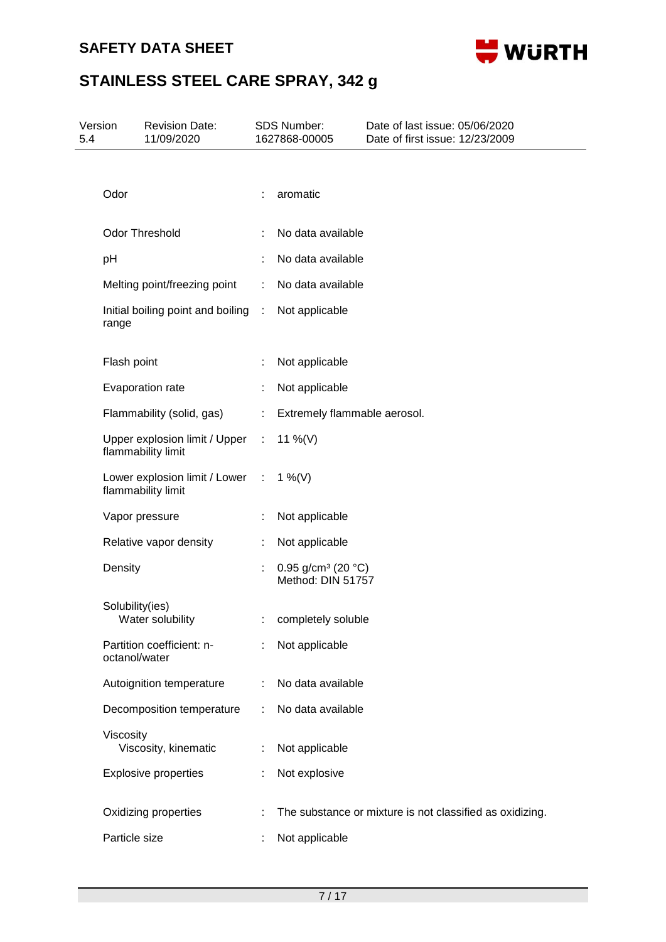## **SAFETY DATA SHEET**



| 5.4 | Version<br><b>Revision Date:</b><br>11/09/2020        |                       | SDS Number:<br>1627868-00005                                  | Date of last issue: 05/06/2020<br>Date of first issue: 12/23/2009 |  |
|-----|-------------------------------------------------------|-----------------------|---------------------------------------------------------------|-------------------------------------------------------------------|--|
|     |                                                       |                       |                                                               |                                                                   |  |
|     | Odor                                                  |                       | aromatic                                                      |                                                                   |  |
|     | Odor Threshold                                        | ÷                     | No data available                                             |                                                                   |  |
|     | pH                                                    | ÷                     | No data available                                             |                                                                   |  |
|     | Melting point/freezing point                          | ÷.                    | No data available                                             |                                                                   |  |
|     | Initial boiling point and boiling :<br>range          |                       | Not applicable                                                |                                                                   |  |
|     | Flash point                                           |                       | Not applicable                                                |                                                                   |  |
|     | Evaporation rate                                      | ÷                     | Not applicable                                                |                                                                   |  |
|     | Flammability (solid, gas)                             | $\mathbb{C}^{\times}$ | Extremely flammable aerosol.                                  |                                                                   |  |
|     | Upper explosion limit / Upper :<br>flammability limit |                       | 11 %(V)                                                       |                                                                   |  |
|     | Lower explosion limit / Lower :<br>flammability limit |                       | 1 %(V)                                                        |                                                                   |  |
|     | Vapor pressure                                        |                       | Not applicable                                                |                                                                   |  |
|     | Relative vapor density                                | ÷.                    | Not applicable                                                |                                                                   |  |
|     | Density                                               | ÷                     | 0.95 g/cm <sup>3</sup> (20 $^{\circ}$ C)<br>Method: DIN 51757 |                                                                   |  |
|     | Solubility(ies)<br>Water solubility                   |                       | completely soluble                                            |                                                                   |  |
|     | Partition coefficient: n-<br>octanol/water            |                       | Not applicable                                                |                                                                   |  |
|     | Autoignition temperature                              |                       | No data available                                             |                                                                   |  |
|     | Decomposition temperature                             | ÷                     | No data available                                             |                                                                   |  |
|     | Viscosity<br>Viscosity, kinematic                     |                       | Not applicable                                                |                                                                   |  |
|     | <b>Explosive properties</b>                           |                       | Not explosive                                                 |                                                                   |  |
|     | Oxidizing properties                                  |                       |                                                               | The substance or mixture is not classified as oxidizing.          |  |
|     | Particle size                                         |                       | Not applicable                                                |                                                                   |  |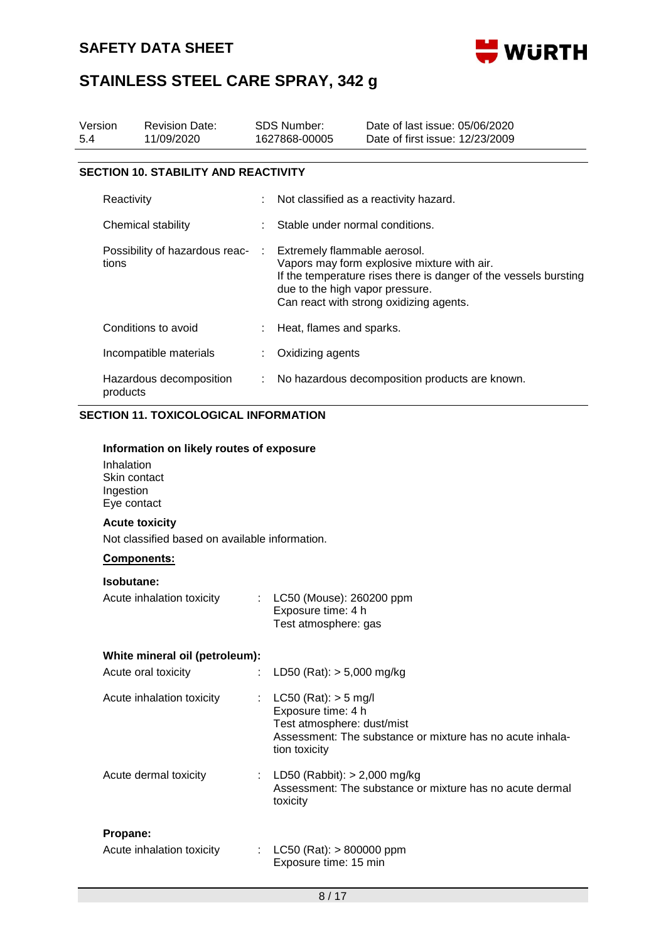

| Version<br><b>Revision Date:</b><br>11/09/2020<br>5.4 |                                                                                                    | <b>SDS Number:</b><br>1627868-00005 |                                                                                                                                                                                                                               | Date of last issue: 05/06/2020<br>Date of first issue: 12/23/2009 |  |  |
|-------------------------------------------------------|----------------------------------------------------------------------------------------------------|-------------------------------------|-------------------------------------------------------------------------------------------------------------------------------------------------------------------------------------------------------------------------------|-------------------------------------------------------------------|--|--|
|                                                       | <b>SECTION 10. STABILITY AND REACTIVITY</b>                                                        |                                     |                                                                                                                                                                                                                               |                                                                   |  |  |
|                                                       | Reactivity                                                                                         |                                     |                                                                                                                                                                                                                               | Not classified as a reactivity hazard.                            |  |  |
|                                                       | Chemical stability                                                                                 |                                     | Stable under normal conditions.                                                                                                                                                                                               |                                                                   |  |  |
| Possibility of hazardous reac-<br>tions               |                                                                                                    | ÷                                   | Extremely flammable aerosol.<br>Vapors may form explosive mixture with air.<br>If the temperature rises there is danger of the vessels bursting<br>due to the high vapor pressure.<br>Can react with strong oxidizing agents. |                                                                   |  |  |
|                                                       | Conditions to avoid                                                                                | ÷                                   | Heat, flames and sparks.                                                                                                                                                                                                      |                                                                   |  |  |
|                                                       | Incompatible materials                                                                             | ÷.                                  | Oxidizing agents                                                                                                                                                                                                              |                                                                   |  |  |
|                                                       | Hazardous decomposition<br>products                                                                | ÷                                   |                                                                                                                                                                                                                               | No hazardous decomposition products are known.                    |  |  |
|                                                       | <b>SECTION 11. TOXICOLOGICAL INFORMATION</b>                                                       |                                     |                                                                                                                                                                                                                               |                                                                   |  |  |
|                                                       | Information on likely routes of exposure<br>Inhalation<br>Skin contact<br>Ingestion<br>Eye contact |                                     |                                                                                                                                                                                                                               |                                                                   |  |  |
|                                                       | <b>Acute toxicity</b>                                                                              |                                     |                                                                                                                                                                                                                               |                                                                   |  |  |
|                                                       | Not classified based on available information.                                                     |                                     |                                                                                                                                                                                                                               |                                                                   |  |  |
|                                                       | Components:                                                                                        |                                     |                                                                                                                                                                                                                               |                                                                   |  |  |
|                                                       | Isobutane:<br>Acute inhalation toxicity                                                            | t.                                  | LC50 (Mouse): 260200 ppm<br>Exposure time: 4 h<br>Test atmosphere: gas                                                                                                                                                        |                                                                   |  |  |
|                                                       | White mineral oil (petroleum):                                                                     |                                     |                                                                                                                                                                                                                               |                                                                   |  |  |
|                                                       | Acute oral toxicity                                                                                |                                     | LD50 (Rat): $> 5,000$ mg/kg                                                                                                                                                                                                   |                                                                   |  |  |

| Acute inhalation toxicity | $LC50$ (Rat): $> 5$ mg/l<br>Exposure time: 4 h<br>Test atmosphere: dust/mist<br>Assessment: The substance or mixture has no acute inhala-<br>tion toxicity |
|---------------------------|------------------------------------------------------------------------------------------------------------------------------------------------------------|
| Acute dermal toxicity     | : LD50 (Rabbit): $>$ 2,000 mg/kg<br>Assessment: The substance or mixture has no acute dermal<br>toxicity                                                   |
| Propane:                  |                                                                                                                                                            |
| Acute inhalation toxicity | : LC50 (Rat): $> 800000$ ppm<br>Exposure time: 15 min                                                                                                      |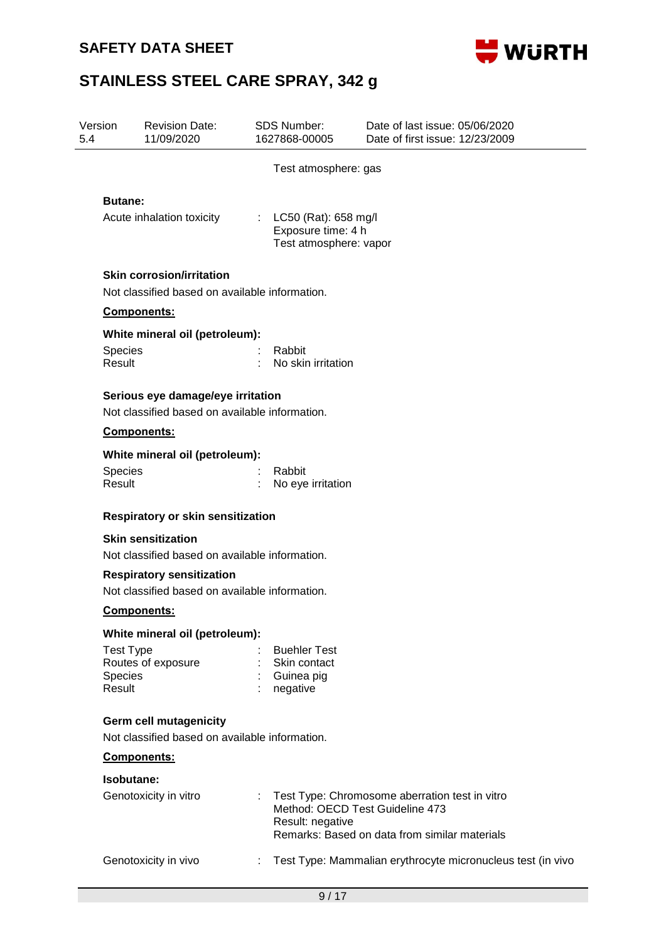

| Version<br>5.4                        | <b>Revision Date:</b><br>11/09/2020                                                 |    | SDS Number:<br>1627868-00005                                             | Date of last issue: 05/06/2020<br>Date of first issue: 12/23/2009                                                                  |  |  |  |
|---------------------------------------|-------------------------------------------------------------------------------------|----|--------------------------------------------------------------------------|------------------------------------------------------------------------------------------------------------------------------------|--|--|--|
|                                       |                                                                                     |    | Test atmosphere: gas                                                     |                                                                                                                                    |  |  |  |
| <b>Butane:</b>                        |                                                                                     |    |                                                                          |                                                                                                                                    |  |  |  |
|                                       | Acute inhalation toxicity                                                           |    | : $LC50$ (Rat): 658 mg/l<br>Exposure time: 4 h<br>Test atmosphere: vapor |                                                                                                                                    |  |  |  |
|                                       | <b>Skin corrosion/irritation</b>                                                    |    |                                                                          |                                                                                                                                    |  |  |  |
|                                       | Not classified based on available information.                                      |    |                                                                          |                                                                                                                                    |  |  |  |
|                                       | Components:                                                                         |    |                                                                          |                                                                                                                                    |  |  |  |
|                                       | White mineral oil (petroleum):                                                      |    |                                                                          |                                                                                                                                    |  |  |  |
| <b>Species</b><br>Result              |                                                                                     |    | Rabbit<br>No skin irritation                                             |                                                                                                                                    |  |  |  |
|                                       | Serious eye damage/eye irritation<br>Not classified based on available information. |    |                                                                          |                                                                                                                                    |  |  |  |
|                                       | Components:                                                                         |    |                                                                          |                                                                                                                                    |  |  |  |
|                                       |                                                                                     |    |                                                                          |                                                                                                                                    |  |  |  |
|                                       | White mineral oil (petroleum):                                                      |    | Rabbit                                                                   |                                                                                                                                    |  |  |  |
| <b>Species</b><br>Result              |                                                                                     |    | No eye irritation                                                        |                                                                                                                                    |  |  |  |
|                                       | Respiratory or skin sensitization                                                   |    |                                                                          |                                                                                                                                    |  |  |  |
|                                       | <b>Skin sensitization</b>                                                           |    |                                                                          |                                                                                                                                    |  |  |  |
|                                       | Not classified based on available information.                                      |    |                                                                          |                                                                                                                                    |  |  |  |
|                                       | <b>Respiratory sensitization</b><br>Not classified based on available information.  |    |                                                                          |                                                                                                                                    |  |  |  |
|                                       | <b>Components:</b>                                                                  |    |                                                                          |                                                                                                                                    |  |  |  |
|                                       | White mineral oil (petroleum):                                                      |    |                                                                          |                                                                                                                                    |  |  |  |
| <b>Test Type</b><br>Species<br>Result | Routes of exposure                                                                  |    | <b>Buehler Test</b><br>Skin contact<br>Guinea pig<br>negative            |                                                                                                                                    |  |  |  |
|                                       | Germ cell mutagenicity<br>Not classified based on available information.            |    |                                                                          |                                                                                                                                    |  |  |  |
|                                       | Components:                                                                         |    |                                                                          |                                                                                                                                    |  |  |  |
|                                       | Isobutane:                                                                          |    |                                                                          |                                                                                                                                    |  |  |  |
|                                       | Genotoxicity in vitro                                                               |    | Result: negative                                                         | Test Type: Chromosome aberration test in vitro<br>Method: OECD Test Guideline 473<br>Remarks: Based on data from similar materials |  |  |  |
|                                       | Genotoxicity in vivo                                                                | ÷. |                                                                          | Test Type: Mammalian erythrocyte micronucleus test (in vivo                                                                        |  |  |  |
|                                       |                                                                                     |    | 9/17                                                                     |                                                                                                                                    |  |  |  |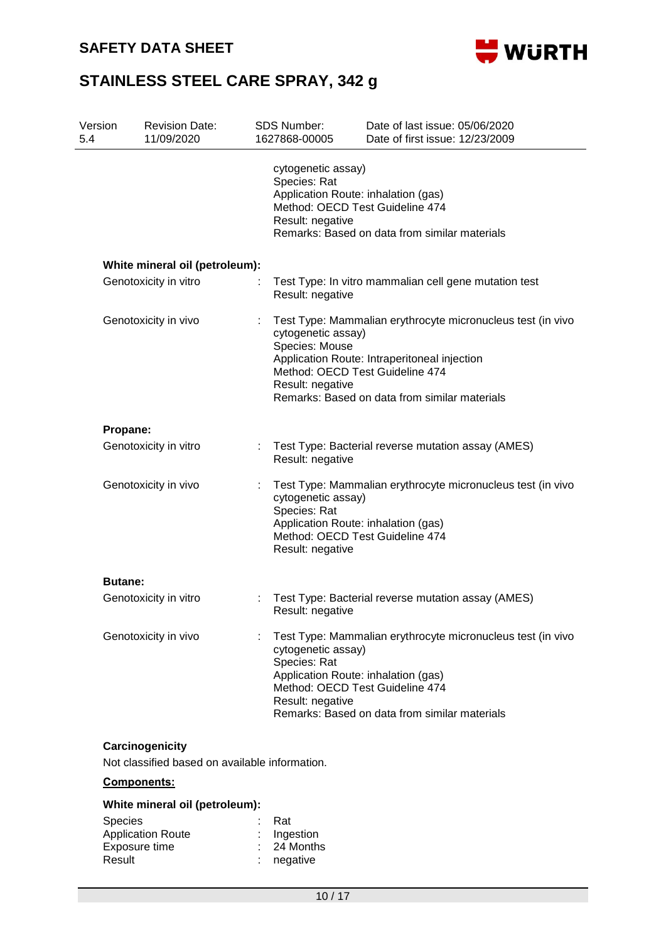

| Version<br>5.4 | <b>Revision Date:</b><br>11/09/2020 |                                                        | <b>SDS Number:</b><br>1627868-00005                                                                                     | Date of last issue: 05/06/2020<br>Date of first issue: 12/23/2009                                                                                                                               |  |  |  |  |
|----------------|-------------------------------------|--------------------------------------------------------|-------------------------------------------------------------------------------------------------------------------------|-------------------------------------------------------------------------------------------------------------------------------------------------------------------------------------------------|--|--|--|--|
|                |                                     | cytogenetic assay)<br>Species: Rat<br>Result: negative | Application Route: inhalation (gas)<br>Method: OECD Test Guideline 474<br>Remarks: Based on data from similar materials |                                                                                                                                                                                                 |  |  |  |  |
|                | White mineral oil (petroleum):      |                                                        |                                                                                                                         |                                                                                                                                                                                                 |  |  |  |  |
|                | Genotoxicity in vitro               |                                                        | Test Type: In vitro mammalian cell gene mutation test<br>Result: negative                                               |                                                                                                                                                                                                 |  |  |  |  |
|                | Genotoxicity in vivo                | ÷.                                                     | cytogenetic assay)<br>Species: Mouse<br>Result: negative                                                                | Test Type: Mammalian erythrocyte micronucleus test (in vivo<br>Application Route: Intraperitoneal injection<br>Method: OECD Test Guideline 474<br>Remarks: Based on data from similar materials |  |  |  |  |
| Propane:       |                                     |                                                        |                                                                                                                         |                                                                                                                                                                                                 |  |  |  |  |
|                | Genotoxicity in vitro               |                                                        | Result: negative                                                                                                        | Test Type: Bacterial reverse mutation assay (AMES)                                                                                                                                              |  |  |  |  |
|                | Genotoxicity in vivo                |                                                        | cytogenetic assay)<br>Species: Rat<br>Result: negative                                                                  | Test Type: Mammalian erythrocyte micronucleus test (in vivo<br>Application Route: inhalation (gas)<br>Method: OECD Test Guideline 474                                                           |  |  |  |  |
| <b>Butane:</b> |                                     |                                                        |                                                                                                                         |                                                                                                                                                                                                 |  |  |  |  |
|                | Genotoxicity in vitro               |                                                        | Result: negative                                                                                                        | Test Type: Bacterial reverse mutation assay (AMES)                                                                                                                                              |  |  |  |  |
|                | Genotoxicity in vivo                |                                                        | cytogenetic assay)<br>Species: Rat<br>Result: negative                                                                  | Test Type: Mammalian erythrocyte micronucleus test (in vivo<br>Application Route: inhalation (gas)<br>Method: OECD Test Guideline 474<br>Remarks: Based on data from similar materials          |  |  |  |  |

## **Carcinogenicity**

Not classified based on available information.

## **Components:**

### **White mineral oil (petroleum):**

| <b>Species</b>           | : Rat         |
|--------------------------|---------------|
| <b>Application Route</b> | $:$ Ingestion |
| Exposure time            | $: 24$ Months |
| Result                   | $:$ negative  |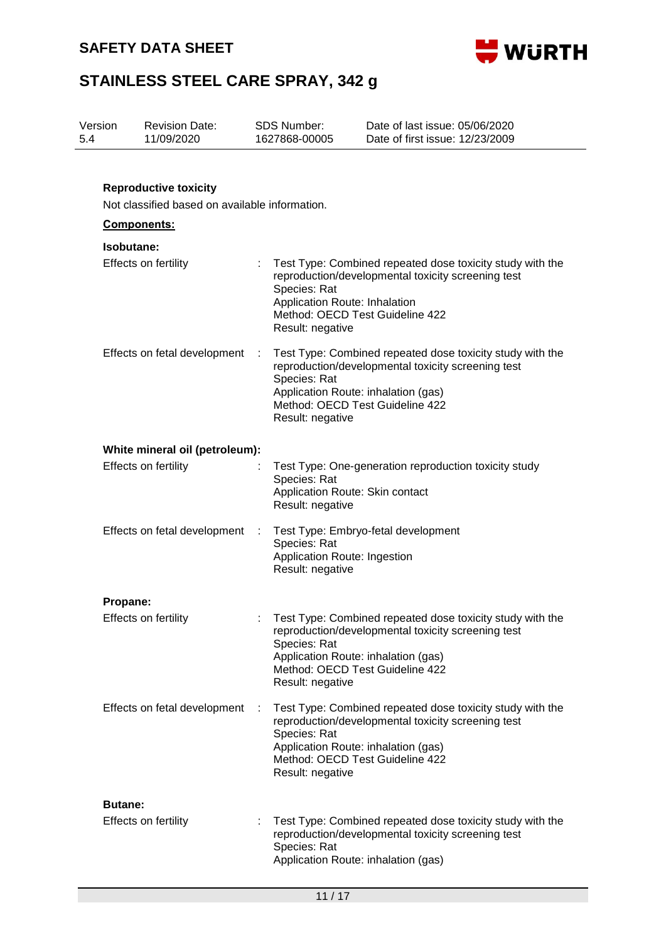

| 5.4 | Version<br><b>Revision Date:</b><br>11/09/2020 |                                                |   | SDS Number:<br>1627868-00005                                                                               | Date of last issue: 05/06/2020<br>Date of first issue: 12/23/2009                                                 |  |
|-----|------------------------------------------------|------------------------------------------------|---|------------------------------------------------------------------------------------------------------------|-------------------------------------------------------------------------------------------------------------------|--|
|     |                                                | <b>Reproductive toxicity</b>                   |   |                                                                                                            |                                                                                                                   |  |
|     |                                                | Not classified based on available information. |   |                                                                                                            |                                                                                                                   |  |
|     |                                                | Components:                                    |   |                                                                                                            |                                                                                                                   |  |
|     | Isobutane:                                     |                                                |   |                                                                                                            |                                                                                                                   |  |
|     |                                                | <b>Effects on fertility</b>                    |   | Species: Rat<br>Application Route: Inhalation<br>Method: OECD Test Guideline 422<br>Result: negative       | Test Type: Combined repeated dose toxicity study with the<br>reproduction/developmental toxicity screening test   |  |
|     |                                                | Effects on fetal development                   | ÷ | Species: Rat<br>Application Route: inhalation (gas)<br>Method: OECD Test Guideline 422<br>Result: negative | Test Type: Combined repeated dose toxicity study with the<br>reproduction/developmental toxicity screening test   |  |
|     |                                                | White mineral oil (petroleum):                 |   |                                                                                                            |                                                                                                                   |  |
|     |                                                | <b>Effects on fertility</b>                    |   | Species: Rat<br>Application Route: Skin contact<br>Result: negative                                        | Test Type: One-generation reproduction toxicity study                                                             |  |
|     |                                                | Effects on fetal development                   |   | Species: Rat<br>Application Route: Ingestion<br>Result: negative                                           | Test Type: Embryo-fetal development                                                                               |  |
|     | Propane:                                       |                                                |   |                                                                                                            |                                                                                                                   |  |
|     |                                                | Effects on fertility                           |   | Species: Rat<br>Application Route: inhalation (gas)<br>Method: OECD Test Guideline 422<br>Result: negative | : Test Type: Combined repeated dose toxicity study with the<br>reproduction/developmental toxicity screening test |  |
|     |                                                | Effects on fetal development                   | ÷ | Species: Rat<br>Application Route: inhalation (gas)<br>Method: OECD Test Guideline 422<br>Result: negative | Test Type: Combined repeated dose toxicity study with the<br>reproduction/developmental toxicity screening test   |  |
|     | <b>Butane:</b>                                 | <b>Effects on fertility</b>                    |   | Species: Rat<br>Application Route: inhalation (gas)                                                        | Test Type: Combined repeated dose toxicity study with the<br>reproduction/developmental toxicity screening test   |  |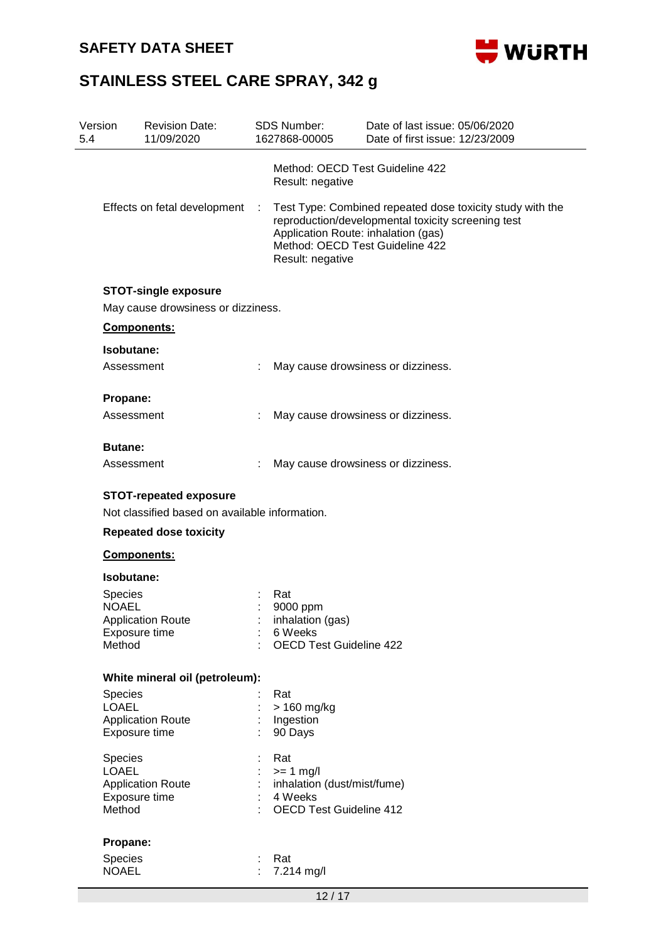

| 5.4 | <b>Revision Date:</b><br>Version<br>11/09/2020                                                 |    | <b>SDS Number:</b><br>1627868-00005                                                            | Date of last issue: 05/06/2020<br>Date of first issue: 12/23/2009                                                                                  |  |
|-----|------------------------------------------------------------------------------------------------|----|------------------------------------------------------------------------------------------------|----------------------------------------------------------------------------------------------------------------------------------------------------|--|
|     |                                                                                                |    | Result: negative                                                                               | Method: OECD Test Guideline 422                                                                                                                    |  |
|     | Effects on fetal development :                                                                 |    | Application Route: inhalation (gas)<br>Result: negative                                        | Test Type: Combined repeated dose toxicity study with the<br>reproduction/developmental toxicity screening test<br>Method: OECD Test Guideline 422 |  |
|     | <b>STOT-single exposure</b><br>May cause drowsiness or dizziness.                              |    |                                                                                                |                                                                                                                                                    |  |
|     | Components:                                                                                    |    |                                                                                                |                                                                                                                                                    |  |
|     | Isobutane:                                                                                     |    |                                                                                                |                                                                                                                                                    |  |
|     | Assessment                                                                                     |    |                                                                                                | May cause drowsiness or dizziness.                                                                                                                 |  |
|     | Propane:                                                                                       |    |                                                                                                |                                                                                                                                                    |  |
|     | Assessment                                                                                     |    |                                                                                                | May cause drowsiness or dizziness.                                                                                                                 |  |
|     | <b>Butane:</b>                                                                                 |    |                                                                                                |                                                                                                                                                    |  |
|     | Assessment                                                                                     |    |                                                                                                | May cause drowsiness or dizziness.                                                                                                                 |  |
|     | Not classified based on available information.<br><b>Repeated dose toxicity</b><br>Components: |    |                                                                                                |                                                                                                                                                    |  |
|     | Isobutane:                                                                                     |    |                                                                                                |                                                                                                                                                    |  |
|     | Species<br><b>NOAEL</b><br><b>Application Route</b><br>Exposure time<br>Method                 |    | Rat<br>9000 ppm<br>inhalation (gas)<br>6 Weeks<br><b>OECD Test Guideline 422</b>               |                                                                                                                                                    |  |
|     | White mineral oil (petroleum):                                                                 |    |                                                                                                |                                                                                                                                                    |  |
|     | Species<br><b>LOAEL</b><br><b>Application Route</b><br>Exposure time                           |    | Rat<br>> 160 mg/kg<br>Ingestion<br>90 Days                                                     |                                                                                                                                                    |  |
|     | Species<br><b>LOAEL</b><br><b>Application Route</b><br>Exposure time<br>Method                 |    | Rat<br>$>= 1$ mg/l<br>inhalation (dust/mist/fume)<br>4 Weeks<br><b>OECD Test Guideline 412</b> |                                                                                                                                                    |  |
|     | Propane:                                                                                       |    |                                                                                                |                                                                                                                                                    |  |
|     | Species<br><b>NOAEL</b>                                                                        | ÷. | Rat<br>7.214 mg/l                                                                              |                                                                                                                                                    |  |
|     |                                                                                                |    | 12/17                                                                                          |                                                                                                                                                    |  |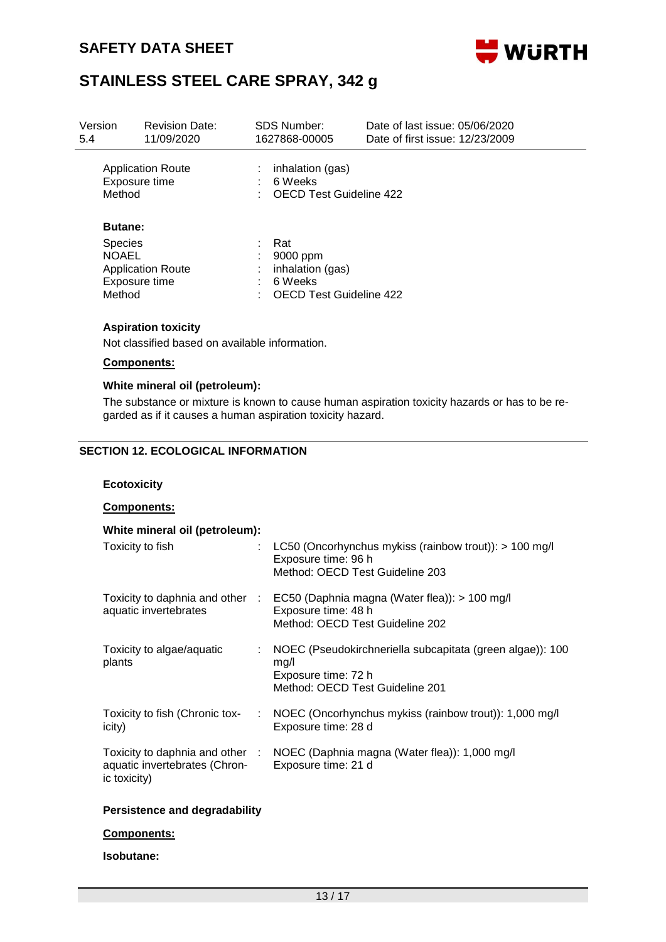

| Version<br>5.4                                             | <b>Revision Date:</b><br>11/09/2020       | SDS Number:<br>1627868-00005                                                     | Date of last issue: 05/06/2020<br>Date of first issue: 12/23/2009 |
|------------------------------------------------------------|-------------------------------------------|----------------------------------------------------------------------------------|-------------------------------------------------------------------|
| Method                                                     | <b>Application Route</b><br>Exposure time | inhalation (gas)<br>6 Weeks<br><b>OECD Test Guideline 422</b>                    |                                                                   |
| <b>Butane:</b><br><b>Species</b><br><b>NOAEL</b><br>Method | <b>Application Route</b><br>Exposure time | Rat<br>9000 ppm<br>inhalation (gas)<br>6 Weeks<br><b>OECD Test Guideline 422</b> |                                                                   |

### **Aspiration toxicity**

Not classified based on available information.

### **Components:**

#### **White mineral oil (petroleum):**

The substance or mixture is known to cause human aspiration toxicity hazards or has to be regarded as if it causes a human aspiration toxicity hazard.

### **SECTION 12. ECOLOGICAL INFORMATION**

#### **Ecotoxicity**

### **Components:**

| White mineral oil (petroleum):                |    |                                                                                                                                         |
|-----------------------------------------------|----|-----------------------------------------------------------------------------------------------------------------------------------------|
| Toxicity to fish                              |    | LC50 (Oncorhynchus mykiss (rainbow trout)): $> 100$ mg/l<br>Exposure time: 96 h<br>Method: OECD Test Guideline 203                      |
| aquatic invertebrates                         |    | Toxicity to daphnia and other : EC50 (Daphnia magna (Water flea)): > 100 mg/l<br>Exposure time: 48 h<br>Method: OECD Test Guideline 202 |
| Toxicity to algae/aquatic<br>plants           |    | NOEC (Pseudokirchneriella subcapitata (green algae)): 100<br>mq/l<br>Exposure time: 72 h<br>Method: OECD Test Guideline 201             |
| Toxicity to fish (Chronic tox-<br>icity)      | ÷. | NOEC (Oncorhynchus mykiss (rainbow trout)): 1,000 mg/l<br>Exposure time: 28 d                                                           |
| aquatic invertebrates (Chron-<br>ic toxicity) |    | Toxicity to daphnia and other : NOEC (Daphnia magna (Water flea)): 1,000 mg/l<br>Exposure time: 21 d                                    |

### **Persistence and degradability**

#### **Components:**

### **Isobutane:**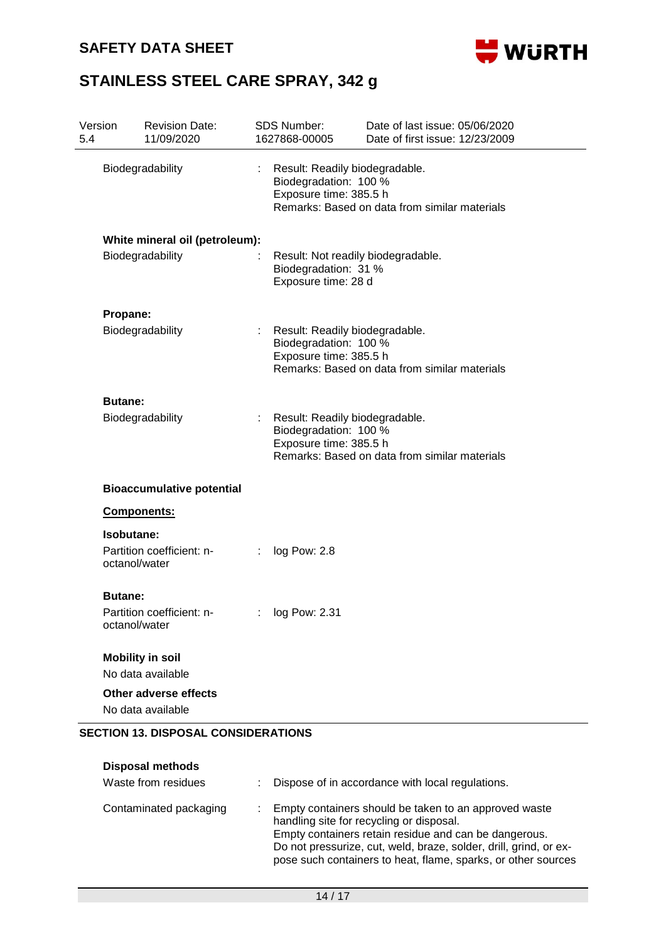## **SAFETY DATA SHEET**



| Version<br>5.4 | <b>Revision Date:</b><br>11/09/2020            | <b>SDS Number:</b><br>1627868-00005 | Date of last issue: 05/06/2020<br>Date of first issue: 12/23/2009                                                                  |  |  |
|----------------|------------------------------------------------|-------------------------------------|------------------------------------------------------------------------------------------------------------------------------------|--|--|
|                | Biodegradability                               |                                     | Result: Readily biodegradable.<br>Biodegradation: 100 %<br>Exposure time: 385.5 h<br>Remarks: Based on data from similar materials |  |  |
|                | White mineral oil (petroleum):                 |                                     |                                                                                                                                    |  |  |
|                | Biodegradability                               |                                     | Result: Not readily biodegradable.<br>Biodegradation: 31 %<br>Exposure time: 28 d                                                  |  |  |
|                | Propane:                                       |                                     |                                                                                                                                    |  |  |
|                | Biodegradability                               |                                     | Result: Readily biodegradable.<br>Biodegradation: 100 %<br>Exposure time: 385.5 h<br>Remarks: Based on data from similar materials |  |  |
| <b>Butane:</b> |                                                |                                     |                                                                                                                                    |  |  |
|                | Biodegradability                               |                                     | Result: Readily biodegradable.<br>Biodegradation: 100 %<br>Exposure time: 385.5 h<br>Remarks: Based on data from similar materials |  |  |
|                | <b>Bioaccumulative potential</b>               |                                     |                                                                                                                                    |  |  |
|                | Components:                                    |                                     |                                                                                                                                    |  |  |
|                | Isobutane:                                     |                                     |                                                                                                                                    |  |  |
|                | Partition coefficient: n-<br>octanol/water     | log Pow: 2.8                        |                                                                                                                                    |  |  |
| <b>Butane:</b> |                                                |                                     |                                                                                                                                    |  |  |
|                | Partition coefficient: n-<br>octanol/water     | log Pow: 2.31                       |                                                                                                                                    |  |  |
|                | <b>Mobility in soil</b>                        |                                     |                                                                                                                                    |  |  |
|                | No data available                              |                                     |                                                                                                                                    |  |  |
|                | Other adverse effects<br>No data available     |                                     |                                                                                                                                    |  |  |
|                | <b>SECTION 13. DISPOSAL CONSIDERATIONS</b>     |                                     |                                                                                                                                    |  |  |
|                |                                                |                                     |                                                                                                                                    |  |  |
|                | <b>Disposal methods</b><br>Waste from residues |                                     | Dispose of in accordance with local regulations.                                                                                   |  |  |

| Contaminated packaging | Empty containers should be taken to an approved waste<br>handling site for recycling or disposal.<br>Empty containers retain residue and can be dangerous.<br>Do not pressurize, cut, weld, braze, solder, drill, grind, or ex-<br>pose such containers to heat, flame, sparks, or other sources |
|------------------------|--------------------------------------------------------------------------------------------------------------------------------------------------------------------------------------------------------------------------------------------------------------------------------------------------|
|                        |                                                                                                                                                                                                                                                                                                  |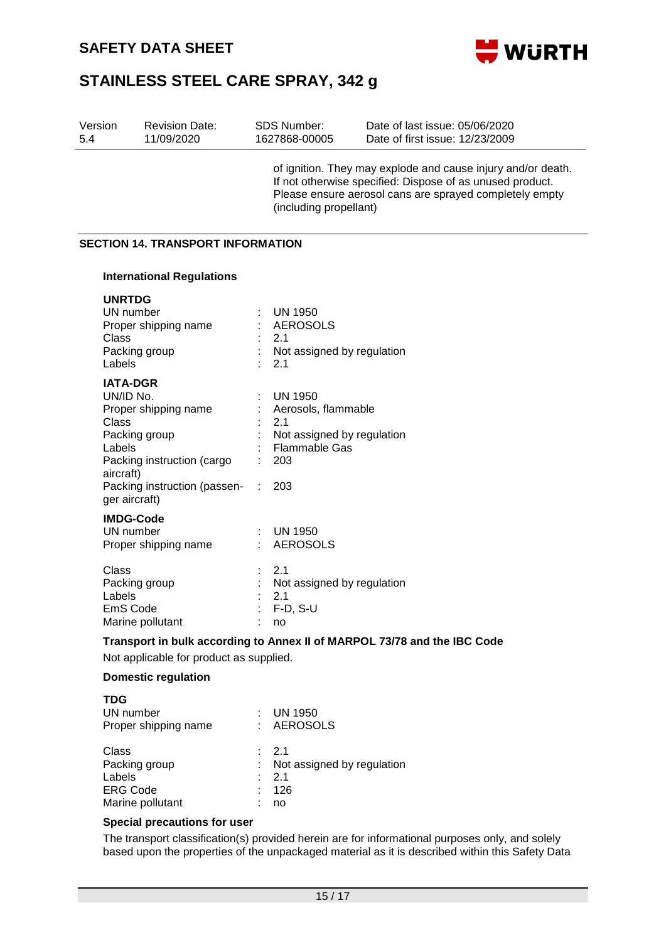

| Version<br>5.4                   | <b>Revision Date:</b><br>11/09/2020                | SDS Number:<br>1627868-00005             | Date of last issue: 05/06/2020<br>Date of first issue: 12/23/2009                                                                                                                    |
|----------------------------------|----------------------------------------------------|------------------------------------------|--------------------------------------------------------------------------------------------------------------------------------------------------------------------------------------|
|                                  |                                                    | (including propellant)                   | of ignition. They may explode and cause injury and/or death.<br>If not otherwise specified: Dispose of as unused product.<br>Please ensure aerosol cans are sprayed completely empty |
|                                  | <b>SECTION 14. TRANSPORT INFORMATION</b>           |                                          |                                                                                                                                                                                      |
|                                  | <b>International Regulations</b>                   |                                          |                                                                                                                                                                                      |
| <b>UNRTDG</b><br>Class<br>Labels | UN number<br>Proper shipping name<br>Packing group | <b>UN 1950</b><br>AEROSOLS<br>2.1<br>2.1 | Not assigned by regulation                                                                                                                                                           |
| UN/ID No.                        | <b>IATA-DGR</b>                                    | <b>UN 1950</b>                           |                                                                                                                                                                                      |

| Proper shipping name                          |    | : Aerosols, flammable      |
|-----------------------------------------------|----|----------------------------|
| Class                                         |    | $-2.1$                     |
| Packing group                                 |    | Not assigned by regulation |
| Labels                                        |    | Flammable Gas              |
| Packing instruction (cargo<br>aircraft)       |    | 203                        |
| Packing instruction (passen-<br>ger aircraft) | ÷. | 203                        |
| <b>IMDG-Code</b>                              |    |                            |
| UN number                                     |    | <b>UN 1950</b>             |
| Proper shipping name                          |    | <b>AEROSOLS</b>            |
| Class                                         |    | $\therefore$ 2.1           |
| Packing group                                 |    | Not assigned by regulation |
| Labels                                        |    | 2.1                        |
| EmS Code                                      |    | $F-D, S-U$                 |
| Marine pollutant                              |    | no                         |

#### **Transport in bulk according to Annex II of MARPOL 73/78 and the IBC Code**

Not applicable for product as supplied.

#### **Domestic regulation**

| <b>TDG</b>           |                            |
|----------------------|----------------------------|
| UN number            | UN 1950                    |
| Proper shipping name | : AEROSOLS                 |
| Class                | : 2.1                      |
| Packing group        | Not assigned by regulation |
| Labels               | : 2.1                      |
| <b>ERG Code</b>      | 126                        |
| Marine pollutant     | no                         |

### **Special precautions for user**

The transport classification(s) provided herein are for informational purposes only, and solely based upon the properties of the unpackaged material as it is described within this Safety Data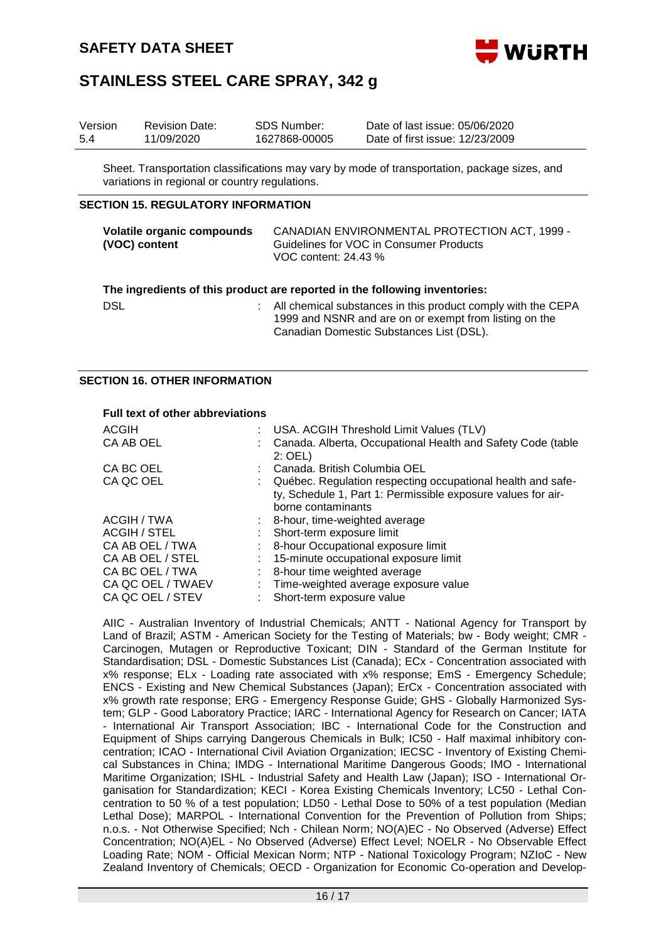

| Version | <b>Revision Date:</b> | SDS Number:   | Date of last issue: 05/06/2020  |
|---------|-----------------------|---------------|---------------------------------|
| 5.4     | 11/09/2020            | 1627868-00005 | Date of first issue: 12/23/2009 |

Sheet. Transportation classifications may vary by mode of transportation, package sizes, and variations in regional or country regulations.

### **SECTION 15. REGULATORY INFORMATION**

| <b>Volatile organic compounds</b> | CANADIAN ENVIRONMENTAL PROTECTION ACT, 1999 - |
|-----------------------------------|-----------------------------------------------|
| (VOC) content                     | Guidelines for VOC in Consumer Products       |
|                                   | VOC content: 24.43 %                          |
|                                   |                                               |

Canadian Domestic Substances List (DSL).

|     | The ingredients of this product are reported in the following inventories:                                             |
|-----|------------------------------------------------------------------------------------------------------------------------|
| DSL | All chemical substances in this product comply with the CEPA<br>1999 and NSNR and are on or exempt from listing on the |

#### **SECTION 16. OTHER INFORMATION**

#### **Full text of other abbreviations**

| <b>ACGIH</b>      | : USA. ACGIH Threshold Limit Values (TLV)                                          |
|-------------------|------------------------------------------------------------------------------------|
| CA AB OEL         | Canada. Alberta, Occupational Health and Safety Code (table<br>$2:$ OEL)           |
| CA BC OEL         | : Canada, British Columbia OEL                                                     |
| CA QC OEL         | : Québec. Regulation respecting occupational health and safe-                      |
|                   | ty, Schedule 1, Part 1: Permissible exposure values for air-<br>borne contaminants |
| ACGIH / TWA       | : 8-hour, time-weighted average                                                    |
| ACGIH / STEL      | Short-term exposure limit                                                          |
| CA AB OEL / TWA   | : 8-hour Occupational exposure limit                                               |
| CA AB OEL / STEL  | 15-minute occupational exposure limit                                              |
| CA BC OEL / TWA   | : 8-hour time weighted average                                                     |
| CA QC OEL / TWAEV | : Time-weighted average exposure value                                             |
| CA QC OEL / STEV  | Short-term exposure value                                                          |

AIIC - Australian Inventory of Industrial Chemicals; ANTT - National Agency for Transport by Land of Brazil; ASTM - American Society for the Testing of Materials; bw - Body weight; CMR - Carcinogen, Mutagen or Reproductive Toxicant; DIN - Standard of the German Institute for Standardisation; DSL - Domestic Substances List (Canada); ECx - Concentration associated with x% response; ELx - Loading rate associated with x% response; EmS - Emergency Schedule; ENCS - Existing and New Chemical Substances (Japan); ErCx - Concentration associated with x% growth rate response; ERG - Emergency Response Guide; GHS - Globally Harmonized System; GLP - Good Laboratory Practice; IARC - International Agency for Research on Cancer; IATA - International Air Transport Association; IBC - International Code for the Construction and Equipment of Ships carrying Dangerous Chemicals in Bulk; IC50 - Half maximal inhibitory concentration; ICAO - International Civil Aviation Organization; IECSC - Inventory of Existing Chemical Substances in China; IMDG - International Maritime Dangerous Goods; IMO - International Maritime Organization; ISHL - Industrial Safety and Health Law (Japan); ISO - International Organisation for Standardization; KECI - Korea Existing Chemicals Inventory; LC50 - Lethal Concentration to 50 % of a test population; LD50 - Lethal Dose to 50% of a test population (Median Lethal Dose); MARPOL - International Convention for the Prevention of Pollution from Ships; n.o.s. - Not Otherwise Specified; Nch - Chilean Norm; NO(A)EC - No Observed (Adverse) Effect Concentration; NO(A)EL - No Observed (Adverse) Effect Level; NOELR - No Observable Effect Loading Rate; NOM - Official Mexican Norm; NTP - National Toxicology Program; NZIoC - New Zealand Inventory of Chemicals; OECD - Organization for Economic Co-operation and Develop-